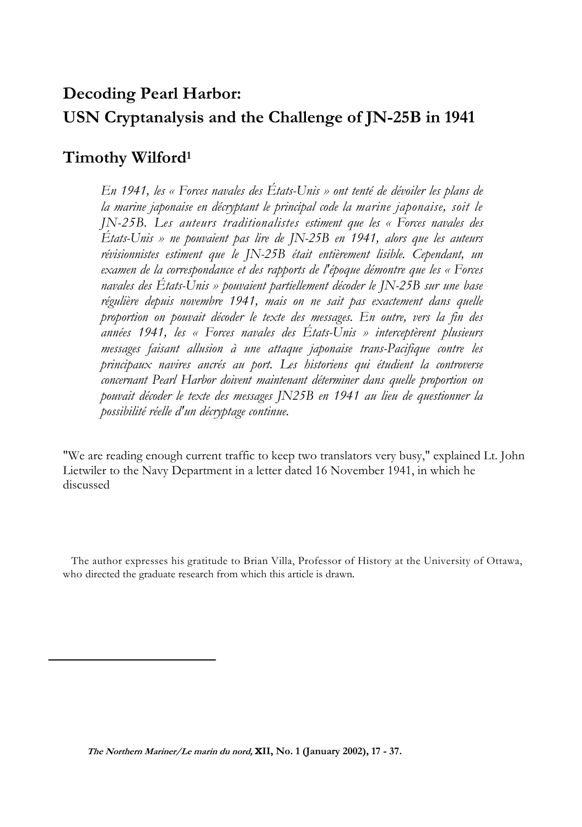# **Decoding Pearl Harbor: USN Cryptanalysis and the Challenge of JN-25B in 1941**

## **Timothy Wilford1**

*En 1941, les « Forces navales des États-Unis » ont tenté de dévoiler les plans de la marine japonaise en décryptant le principal code la marine japonaise, soit le JN-25B. Les auteurs traditionalistes estiment que les « Forces navales des États-Unis » ne pouvaient pas lire de JN-25B en 1941, alors que les auteurs révisionnistes estiment que le JN-25B était entièrement lisible. Cependant, un examen de la correspondance et des rapports de l'époque démontre que les « Forces navales des États-Unis » pouvaient partiellement décoder le JN-25B sur une base régulière depuis novembre 1941, mais on ne sait pas exactement dans quelle proportion on pouvait décoder le texte des messages. En outre, vers la fin des années 1941, les « Forces navales des États-Unis » interceptèrent plusieurs messages faisant allusion à une attaque japonaise trans-Pacifique contre les principaux navires ancrés au port. Les historiens qui étudient la controverse concernant Pearl Harbor doivent maintenant déterminer dans quelle proportion on pouvait décoder le texte des messages JN25B en 1941 au lieu de questionner la possibilité réelle d'un décryptage continue.*

"We are reading enough current traffic to keep two translators very busy," explained Lt. John Lietwiler to the Navy Department in a letter dated 16 November 1941, in which he discussed

The author expresses his gratitude to Brian Villa, Professor of History at the University of Ottawa, who directed the graduate research from which this article is drawn.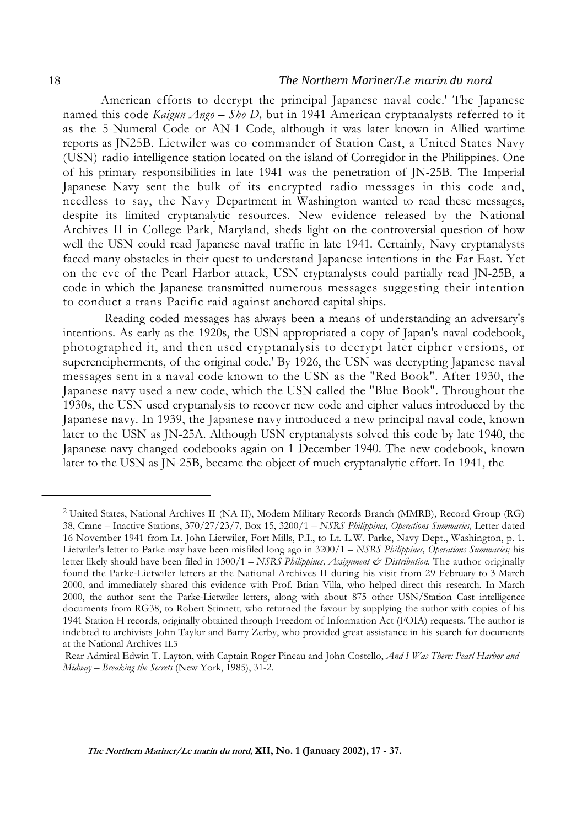#### 18 *The Northern Mariner/Le marin du nord*

American efforts to decrypt the principal Japanese naval code.' The Japanese named this code *Kaigun Ango – Sho D,* but in 1941 American cryptanalysts referred to it as the 5-Numeral Code or AN-1 Code, although it was later known in Allied wartime reports as JN25B. Lietwiler was co-commander of Station Cast, a United States Navy (USN) radio intelligence station located on the island of Corregidor in the Philippines. One of his primary responsibilities in late 1941 was the penetration of JN-25B. The Imperial Japanese Navy sent the bulk of its encrypted radio messages in this code and, needless to say, the Navy Department in Washington wanted to read these messages, despite its limited cryptanalytic resources. New evidence released by the National Archives II in College Park, Maryland, sheds light on the controversial question of how well the USN could read Japanese naval traffic in late 1941. Certainly, Navy cryptanalysts faced many obstacles in their quest to understand Japanese intentions in the Far East. Yet on the eve of the Pearl Harbor attack, USN cryptanalysts could partially read JN-25B, a code in which the Japanese transmitted numerous messages suggesting their intention to conduct a trans-Pacific raid against anchored capital ships.

Reading coded messages has always been a means of understanding an adversary's intentions. As early as the 1920s, the USN appropriated a copy of Japan's naval codebook, photographed it, and then used cryptanalysis to decrypt later cipher versions, or superencipherments, of the original code.' By 1926, the USN was decrypting Japanese naval messages sent in a naval code known to the USN as the "Red Book". After 1930, the Japanese navy used a new code, which the USN called the "Blue Book". Throughout the 1930s, the USN used cryptanalysis to recover new code and cipher values introduced by the Japanese navy. In 1939, the Japanese navy introduced a new principal naval code, known later to the USN as JN-25A. Although USN cryptanalysts solved this code by late 1940, the Japanese navy changed codebooks again on 1 December 1940. The new codebook, known later to the USN as JN-25B, became the object of much cryptanalytic effort. In 1941, the

<sup>2</sup> United States, National Archives II (NA II), Modern Military Records Branch (MMRB), Record Group (RG) 38, Crane – Inactive Stations, 370/27/23/7, Box 15, 3200/1 – *NSRS Philippines, Operations Summaries,* Letter dated 16 November 1941 from Lt. John Lietwiler, Fort Mills, P.I., to Lt. L.W. Parke, Navy Dept., Washington, p. 1. Lietwiler's letter to Parke may have been misfiled long ago in 3200/1 – *NSRS Philippines, Operations Summaries;* his letter likely should have been filed in 1300/1 – *NSRS Philippines, Assignment & Distribution.* The author originally found the Parke-Lietwiler letters at the National Archives II during his visit from 29 February to 3 March 2000, and immediately shared this evidence with Prof. Brian Villa, who helped direct this research. In March 2000, the author sent the Parke-Lietwiler letters, along with about 875 other USN/Station Cast intelligence documents from RG38, to Robert Stinnett, who returned the favour by supplying the author with copies of his 1941 Station H records, originally obtained through Freedom of Information Act (FOIA) requests. The author is indebted to archivists John Taylor and Barry Zerby, who provided great assistance in his search for documents at the National Archives II.3

Rear Admiral Edwin T. Layton, with Captain Roger Pineau and John Costello, *And I Was There: Pearl Harbor and Midway – Breaking the Secrets* (New York, 1985), 31-2.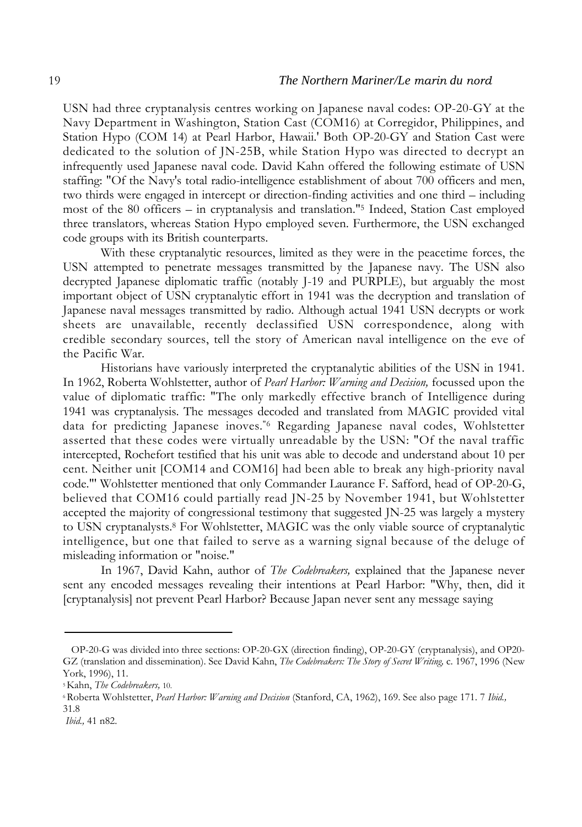USN had three cryptanalysis centres working on Japanese naval codes: OP-20-GY at the Navy Department in Washington, Station Cast (COM16) at Corregidor, Philippines, and Station Hypo (COM 14) at Pearl Harbor, Hawaii.' Both OP-20-GY and Station Cast were dedicated to the solution of JN-25B, while Station Hypo was directed to decrypt an infrequently used Japanese naval code. David Kahn offered the following estimate of USN staffing: "Of the Navy's total radio-intelligence establishment of about 700 officers and men, two thirds were engaged in intercept or direction-finding activities and one third – including most of the 80 officers – in cryptanalysis and translation."5 Indeed, Station Cast employed three translators, whereas Station Hypo employed seven. Furthermore, the USN exchanged code groups with its British counterparts.

With these cryptanalytic resources, limited as they were in the peacetime forces, the USN attempted to penetrate messages transmitted by the Japanese navy. The USN also decrypted Japanese diplomatic traffic (notably J-19 and PURPLE), but arguably the most important object of USN cryptanalytic effort in 1941 was the decryption and translation of Japanese naval messages transmitted by radio. Although actual 1941 USN decrypts or work sheets are unavailable, recently declassified USN correspondence, along with credible secondary sources, tell the story of American naval intelligence on the eve of the Pacific War.

Historians have variously interpreted the cryptanalytic abilities of the USN in 1941. In 1962, Roberta Wohlstetter, author of *Pearl Harbor: Warning and Decision,* focussed upon the value of diplomatic traffic: "The only markedly effective branch of Intelligence during 1941 was cryptanalysis. The messages decoded and translated from MAGIC provided vital data for predicting Japanese inoves."6 Regarding Japanese naval codes, Wohlstetter asserted that these codes were virtually unreadable by the USN: "Of the naval traffic intercepted, Rochefort testified that his unit was able to decode and understand about 10 per cent. Neither unit [COM14 and COM16] had been able to break any high-priority naval code."' Wohlstetter mentioned that only Commander Laurance F. Safford, head of OP-20-G, believed that COM16 could partially read JN-25 by November 1941, but Wohlstetter accepted the majority of congressional testimony that suggested JN-25 was largely a mystery to USN cryptanalysts.8 For Wohlstetter, MAGIC was the only viable source of cryptanalytic intelligence, but one that failed to serve as a warning signal because of the deluge of misleading information or "noise."

In 1967, David Kahn, author of *The Codebreakers,* explained that the Japanese never sent any encoded messages revealing their intentions at Pearl Harbor: "Why, then, did it [cryptanalysis] not prevent Pearl Harbor? Because Japan never sent any message saying

OP-20-G was divided into three sections: OP-20-GX (direction finding), OP-20-GY (cryptanalysis), and OP20- GZ (translation and dissemination). See David Kahn, *The Codebreakers: The Story of Secret Writing,* c. 1967, 1996 (New York, 1996), 11.

<sup>5</sup> Kahn, *The Codebreakers,* 10.

<sup>6</sup> Roberta Wohlstetter, *Pearl Harbor: Warning and Decision* (Stanford, CA, 1962), 169. See also page 171. 7 *Ibid.,* 31.8

*Ibid.,* 41 n82.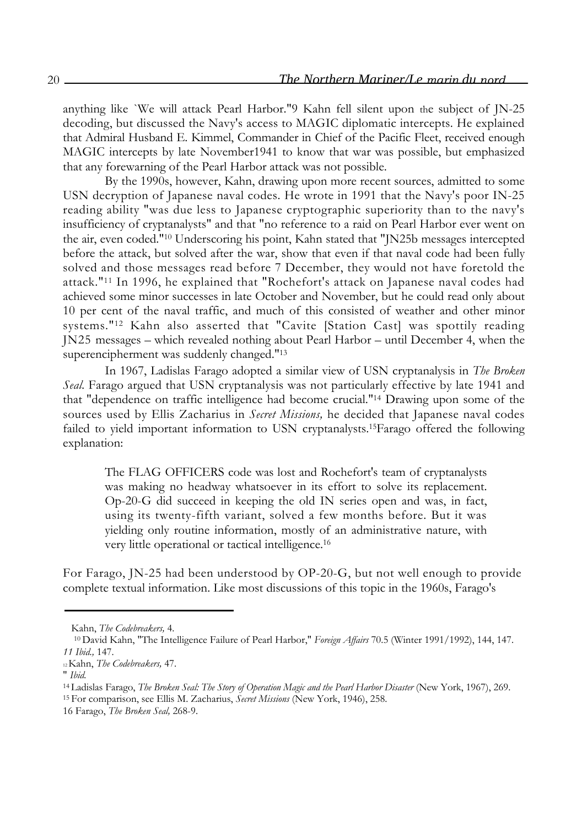anything like `We will attack Pearl Harbor."9 Kahn fell silent upon the subject of JN-25 decoding, but discussed the Navy's access to MAGIC diplomatic intercepts. He explained that Admiral Husband E. Kimmel, Commander in Chief of the Pacific Fleet, received enough MAGIC intercepts by late November1941 to know that war was possible, but emphasized that any forewarning of the Pearl Harbor attack was not possible.

By the 1990s, however, Kahn, drawing upon more recent sources, admitted to some USN decryption of Japanese naval codes. He wrote in 1991 that the Navy's poor IN-25 reading ability "was due less to Japanese cryptographic superiority than to the navy's insufficiency of cryptanalysts" and that "no reference to a raid on Pearl Harbor ever went on the air, even coded."10 Underscoring his point, Kahn stated that "JN25b messages intercepted before the attack, but solved after the war, show that even if that naval code had been fully solved and those messages read before 7 December, they would not have foretold the attack."11 In 1996, he explained that "Rochefort's attack on Japanese naval codes had achieved some minor successes in late October and November, but he could read only about 10 per cent of the naval traffic, and much of this consisted of weather and other minor systems."12 Kahn also asserted that "Cavite [Station Cast] was spottily reading JN25 messages – which revealed nothing about Pearl Harbor – until December 4, when the superencipherment was suddenly changed."13

In 1967, Ladislas Farago adopted a similar view of USN cryptanalysis in *The Broken Seal.* Farago argued that USN cryptanalysis was not particularly effective by late 1941 and that "dependence on traffic intelligence had become crucial."14 Drawing upon some of the sources used by Ellis Zacharius in *Secret Missions,* he decided that Japanese naval codes failed to yield important information to USN cryptanalysts.15Farago offered the following explanation:

The FLAG OFFICERS code was lost and Rochefort's team of cryptanalysts was making no headway whatsoever in its effort to solve its replacement. Op-20-G did succeed in keeping the old IN series open and was, in fact, using its twenty-fifth variant, solved a few months before. But it was yielding only routine information, mostly of an administrative nature, with very little operational or tactical intelligence.16

For Farago, JN-25 had been understood by OP-20-G, but not well enough to provide complete textual information. Like most discussions of this topic in the 1960s, Farago's

Kahn, *The Codebreakers,* 4.

<sup>10</sup> David Kahn, "The Intelligence Failure of Pearl Harbor," *Foreign Affairs* 70.5 (Winter 1991/1992), 144, 147. *11 Ibid.,* 147.

<sup>12</sup> Kahn, *The Codebreakers,* 47.

<sup>&</sup>quot; *Ibid.*

<sup>&</sup>lt;sup>14</sup> Ladislas Farago, *The Broken Seal: The Story of Operation Magic and the Pearl Harbor Disaster* (New York, 1967), 269.

<sup>15</sup> For comparison, see Ellis M. Zacharius, *Secret Missions* (New York, 1946), 258.

<sup>16</sup> Farago, *The Broken Seal,* 268-9.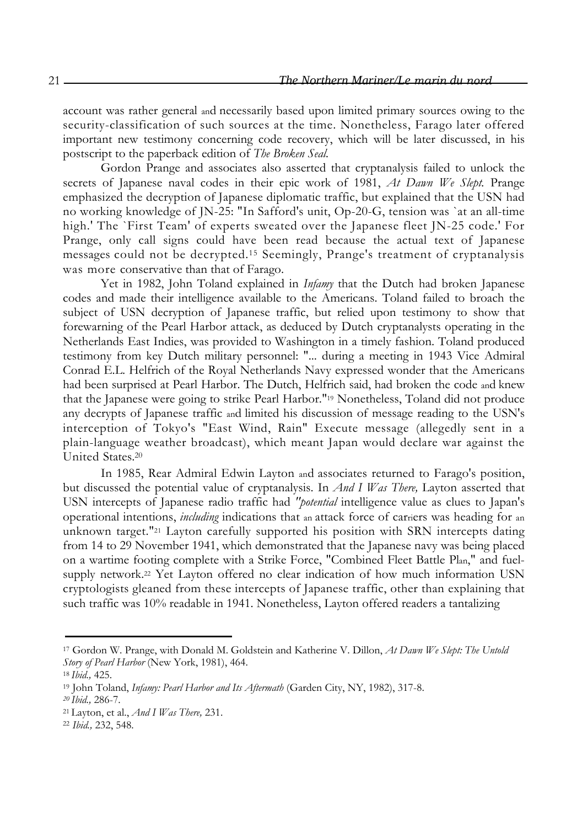account was rather general and necessarily based upon limited primary sources owing to the security-classification of such sources at the time. Nonetheless, Farago later offered important new testimony concerning code recovery, which will be later discussed, in his postscript to the paperback edition of *The Broken Seal.*

Gordon Prange and associates also asserted that cryptanalysis failed to unlock the secrets of Japanese naval codes in their epic work of 1981, *At Dawn We Slept.* Prange emphasized the decryption of Japanese diplomatic traffic, but explained that the USN had no working knowledge of JN-25: "In Safford's unit, Op-20-G, tension was `at an all-time high.' The `First Team' of experts sweated over the Japanese fleet JN-25 code.' For Prange, only call signs could have been read because the actual text of Japanese messages could not be decrypted.15 Seemingly, Prange's treatment of cryptanalysis was more conservative than that of Farago.

Yet in 1982, John Toland explained in *Infamy* that the Dutch had broken Japanese codes and made their intelligence available to the Americans. Toland failed to broach the subject of USN decryption of Japanese traffic, but relied upon testimony to show that forewarning of the Pearl Harbor attack, as deduced by Dutch cryptanalysts operating in the Netherlands East Indies, was provided to Washington in a timely fashion. Toland produced testimony from key Dutch military personnel: "... during a meeting in 1943 Vice Admiral Conrad E.L. Helfrich of the Royal Netherlands Navy expressed wonder that the Americans had been surprised at Pearl Harbor. The Dutch, Helfrich said, had broken the code and knew that the Japanese were going to strike Pearl Harbor."19 Nonetheless, Toland did not produce any decrypts of Japanese traffic and limited his discussion of message reading to the USN's interception of Tokyo's "East Wind, Rain" Execute message (allegedly sent in a plain-language weather broadcast), which meant Japan would declare war against the United States.20

In 1985, Rear Admiral Edwin Layton and associates returned to Farago's position, but discussed the potential value of cryptanalysis. In *And I Was There,* Layton asserted that USN intercepts of Japanese radio traffic had *"potential* intelligence value as clues to Japan's operational intentions, *including* indications that an attack force of carriers was heading for an unknown target."21 Layton carefully supported his position with SRN intercepts dating from 14 to 29 November 1941, which demonstrated that the Japanese navy was being placed on a wartime footing complete with a Strike Force, "Combined Fleet Battle Plan," and fuelsupply network.22 Yet Layton offered no clear indication of how much information USN cryptologists gleaned from these intercepts of Japanese traffic, other than explaining that such traffic was 10% readable in 1941. Nonetheless, Layton offered readers a tantalizing

<sup>17</sup> Gordon W. Prange, with Donald M. Goldstein and Katherine V. Dillon, *At Dawn We Slept: The Untold Story of Pearl Harbor* (New York, 1981), 464.

<sup>18</sup>*Ibid.,* 425.

<sup>19</sup> John Toland, *Infamy: Pearl Harbor and Its Aftermath* (Garden City, NY, 1982), 317-8.

*<sup>20</sup> Ibid.,* 286-7.

<sup>21</sup> Layton, et al., *And I Was There,* 231.

<sup>22</sup> *Ibid.,* 232, 548.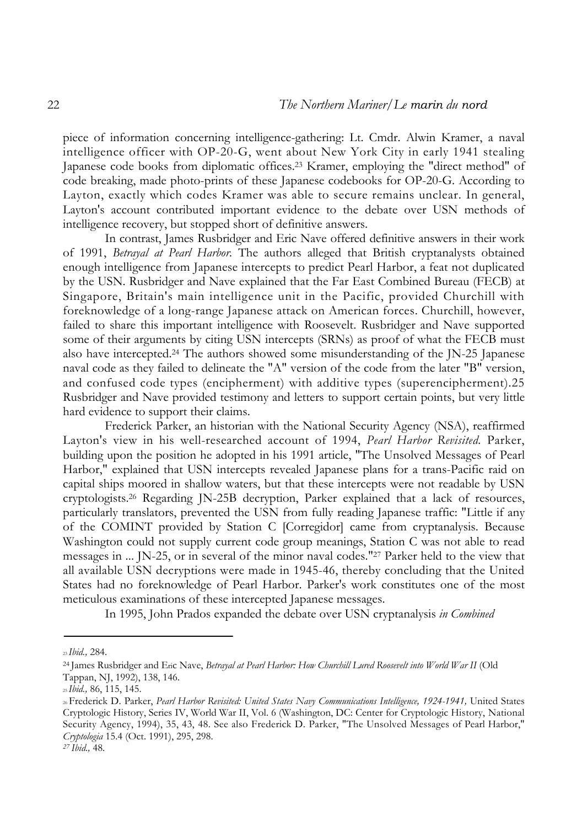piece of information concerning intelligence-gathering: Lt. Cmdr. Alwin Kramer, a naval intelligence officer with OP-20-G, went about New York City in early 1941 stealing Japanese code books from diplomatic offices.23 Kramer, employing the "direct method" of code breaking, made photo-prints of these Japanese codebooks for OP-20-G. According to Layton, exactly which codes Kramer was able to secure remains unclear. In general, Layton's account contributed important evidence to the debate over USN methods of intelligence recovery, but stopped short of definitive answers.

In contrast, James Rusbridger and Eric Nave offered definitive answers in their work of 1991, *Betrayal at Pearl Harbor.* The authors alleged that British cryptanalysts obtained enough intelligence from Japanese intercepts to predict Pearl Harbor, a feat not duplicated by the USN. Rusbridger and Nave explained that the Far East Combined Bureau (FECB) at Singapore, Britain's main intelligence unit in the Pacific, provided Churchill with foreknowledge of a long-range Japanese attack on American forces. Churchill, however, failed to share this important intelligence with Roosevelt. Rusbridger and Nave supported some of their arguments by citing USN intercepts (SRNs) as proof of what the FECB must also have intercepted.24 The authors showed some misunderstanding of the JN-25 Japanese naval code as they failed to delineate the "A" version of the code from the later "B" version, and confused code types (encipherment) with additive types (superencipherment).25 Rusbridger and Nave provided testimony and letters to support certain points, but very little hard evidence to support their claims.

Frederick Parker, an historian with the National Security Agency (NSA), reaffirmed Layton's view in his well-researched account of 1994, *Pearl Harbor Revisited.* Parker, building upon the position he adopted in his 1991 article, "The Unsolved Messages of Pearl Harbor," explained that USN intercepts revealed Japanese plans for a trans-Pacific raid on capital ships moored in shallow waters, but that these intercepts were not readable by USN cryptologists.26 Regarding JN-25B decryption, Parker explained that a lack of resources, particularly translators, prevented the USN from fully reading Japanese traffic: "Little if any of the COMINT provided by Station C [Corregidor] came from cryptanalysis. Because Washington could not supply current code group meanings, Station C was not able to read messages in ... JN-25, or in several of the minor naval codes."27 Parker held to the view that all available USN decryptions were made in 1945-46, thereby concluding that the United States had no foreknowledge of Pearl Harbor. Parker's work constitutes one of the most meticulous examinations of these intercepted Japanese messages.

In 1995, John Prados expanded the debate over USN cryptanalysis *in Combined*

<sup>23</sup>*Ibid.,* 284.

<sup>24</sup> James Rusbridger and Eric Nave, *Betrayal at Pearl Harbor: How Churchill Lured Roosevelt into World War II* (Old Tappan, NJ, 1992), 138, 146.

<sup>25</sup>*Ibid.,* 86, 115, 145.

<sup>26</sup> Frederick D. Parker, *Pearl Harbor Revisited: United States Navy Communications Intelligence, 1924-1941,* United States Cryptologic History, Series IV, World War II, Vol. 6 (Washington, DC: Center for Cryptologic History, National Security Agency, 1994), 35, 43, 48. See also Frederick D. Parker, "The Unsolved Messages of Pearl Harbor," *Cryptologia* 15.4 (Oct. 1991), 295, 298.

*<sup>27</sup> Ibid.,* 48.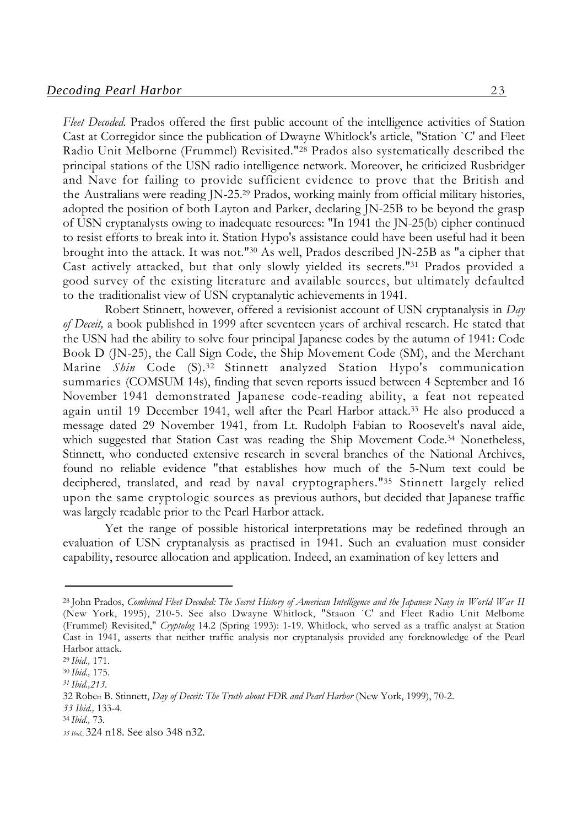*Fleet Decoded.* Prados offered the first public account of the intelligence activities of Station Cast at Corregidor since the publication of Dwayne Whitlock's article, "Station `C' and Fleet Radio Unit Melborne (Frummel) Revisited."28 Prados also systematically described the principal stations of the USN radio intelligence network. Moreover, he criticized Rusbridger and Nave for failing to provide sufficient evidence to prove that the British and the Australians were reading JN-25.29 Prados, working mainly from official military histories, adopted the position of both Layton and Parker, declaring JN-25B to be beyond the grasp of USN cryptanalysts owing to inadequate resources: "In 1941 the JN-25(b) cipher continued to resist efforts to break into it. Station Hypo's assistance could have been useful had it been brought into the attack. It was not."30 As well, Prados described JN-25B as "a cipher that Cast actively attacked, but that only slowly yielded its secrets."31 Prados provided a good survey of the existing literature and available sources, but ultimately defaulted to the traditionalist view of USN cryptanalytic achievements in 1941.

Robert Stinnett, however, offered a revisionist account of USN cryptanalysis in *Day of Deceit,* a book published in 1999 after seventeen years of archival research. He stated that the USN had the ability to solve four principal Japanese codes by the autumn of 1941: Code Book D (JN-25), the Call Sign Code, the Ship Movement Code (SM), and the Merchant Marine *Shin* Code (S).32 Stinnett analyzed Station Hypo's communication summaries (COMSUM 14s), finding that seven reports issued between 4 September and 16 November 1941 demonstrated Japanese code-reading ability, a feat not repeated again until 19 December 1941, well after the Pearl Harbor attack.33 He also produced a message dated 29 November 1941, from Lt. Rudolph Fabian to Roosevelt's naval aide, which suggested that Station Cast was reading the Ship Movement Code.<sup>34</sup> Nonetheless, Stinnett, who conducted extensive research in several branches of the National Archives, found no reliable evidence "that establishes how much of the 5-Num text could be deciphered, translated, and read by naval cryptographers."35 Stinnett largely relied upon the same cryptologic sources as previous authors, but decided that Japanese traffic was largely readable prior to the Pearl Harbor attack.

Yet the range of possible historical interpretations may be redefined through an evaluation of USN cryptanalysis as practised in 1941. Such an evaluation must consider capability, resource allocation and application. Indeed, an examination of key letters and

<sup>28</sup> John Prados, *Combined Fleet Decoded: The Secret History of American Intelligence and the Japanese Navy in World War II* (New York, 1995), 210-5. See also Dwayne Whitlock, "Station `C' and Fleet Radio Unit Melbome (Frummel) Revisited," *Cryptolog* 14.2 (Spring 1993): 1-19. Whitlock, who served as a traffic analyst at Station Cast in 1941, asserts that neither traffic analysis nor cryptanalysis provided any foreknowledge of the Pearl Harbor attack.

<sup>29</sup>*Ibid.,* 171.

<sup>30</sup>*Ibid.,* 175.

*<sup>31</sup> Ibid.,213.*

<sup>32</sup> Robert B. Stinnett, *Day of Deceit: The Truth about FDR and Pearl Harbor* (New York, 1999), 70-2.

*<sup>33</sup> Ibid.,* 133-4.

<sup>34</sup>*Ibid.,* 73.

*<sup>35</sup> Ibid.,* 324 n18. See also 348 n32.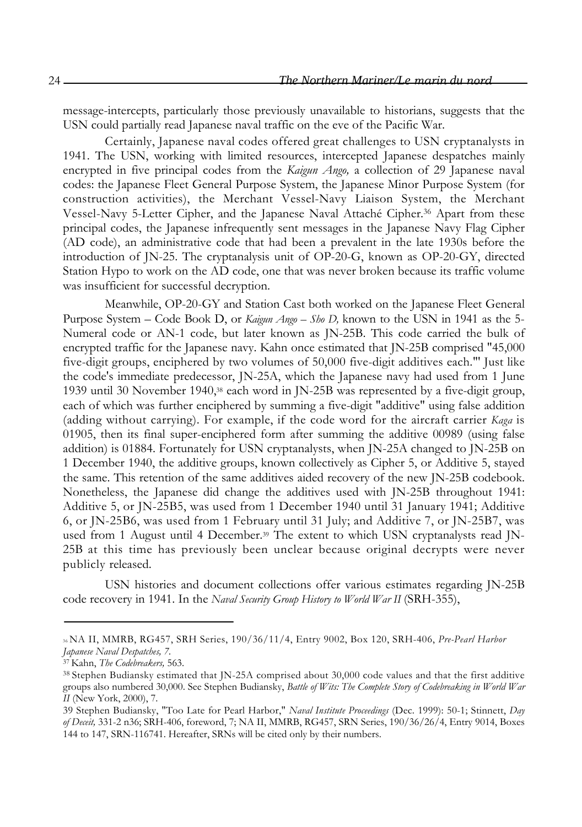message-intercepts, particularly those previously unavailable to historians, suggests that the USN could partially read Japanese naval traffic on the eve of the Pacific War.

Certainly, Japanese naval codes offered great challenges to USN cryptanalysts in 1941. The USN, working with limited resources, intercepted Japanese despatches mainly encrypted in five principal codes from the *Kaigun Ango,* a collection of 29 Japanese naval codes: the Japanese Fleet General Purpose System, the Japanese Minor Purpose System (for construction activities), the Merchant Vessel-Navy Liaison System, the Merchant Vessel-Navy 5-Letter Cipher, and the Japanese Naval Attaché Cipher.36 Apart from these principal codes, the Japanese infrequently sent messages in the Japanese Navy Flag Cipher (AD code), an administrative code that had been a prevalent in the late 1930s before the introduction of JN-25. The cryptanalysis unit of OP-20-G, known as OP-20-GY, directed Station Hypo to work on the AD code, one that was never broken because its traffic volume was insufficient for successful decryption.

Meanwhile, OP-20-GY and Station Cast both worked on the Japanese Fleet General Purpose System – Code Book D, or *Kaigun Ango – Sho D,* known to the USN in 1941 as the 5- Numeral code or AN-1 code, but later known as JN-25B. This code carried the bulk of encrypted traffic for the Japanese navy. Kahn once estimated that JN-25B comprised "45,000 five-digit groups, enciphered by two volumes of 50,000 five-digit additives each."' Just like the code's immediate predecessor, JN-25A, which the Japanese navy had used from 1 June 1939 until 30 November 1940,38 each word in JN-25B was represented by a five-digit group, each of which was further enciphered by summing a five-digit "additive" using false addition (adding without carrying). For example, if the code word for the aircraft carrier *Kaga* is 01905, then its final super-enciphered form after summing the additive 00989 (using false addition) is 01884. Fortunately for USN cryptanalysts, when JN-25A changed to JN-25B on 1 December 1940, the additive groups, known collectively as Cipher 5, or Additive 5, stayed the same. This retention of the same additives aided recovery of the new JN-25B codebook. Nonetheless, the Japanese did change the additives used with JN-25B throughout 1941: Additive 5, or JN-25B5, was used from 1 December 1940 until 31 January 1941; Additive 6, or JN-25B6, was used from 1 February until 31 July; and Additive 7, or JN-25B7, was used from 1 August until 4 December.<sup>39</sup> The extent to which USN cryptanalysts read JN-25B at this time has previously been unclear because original decrypts were never publicly released.

USN histories and document collections offer various estimates regarding JN-25B code recovery in 1941. In the *Naval Security Group History to World War II* (SRH-355),

<sup>36</sup> NA II, MMRB, RG457, SRH Series, 190/36/11/4, Entry 9002, Box 120, SRH-406, *Pre-Pearl Harbor Japanese Naval Despatches, 7.*

<sup>37</sup> Kahn, *The Codebreakers,* 563.

<sup>38</sup> Stephen Budiansky estimated that JN-25A comprised about 30,000 code values and that the first additive groups also numbered 30,000. See Stephen Budiansky, *Battle of Wits: The Complete Story of Codebreaking in World War II* (New York, 2000), 7.

<sup>39</sup> Stephen Budiansky, "Too Late for Pearl Harbor," *Naval Institute Proceedings* (Dec. 1999): 50-1; Stinnett, *Day of Deceit,* 331-2 n36; SRH-406, foreword, 7; NA II, MMRB, RG457, SRN Series, 190/36/26/4, Entry 9014, Boxes 144 to 147, SRN-116741. Hereafter, SRNs will be cited only by their numbers.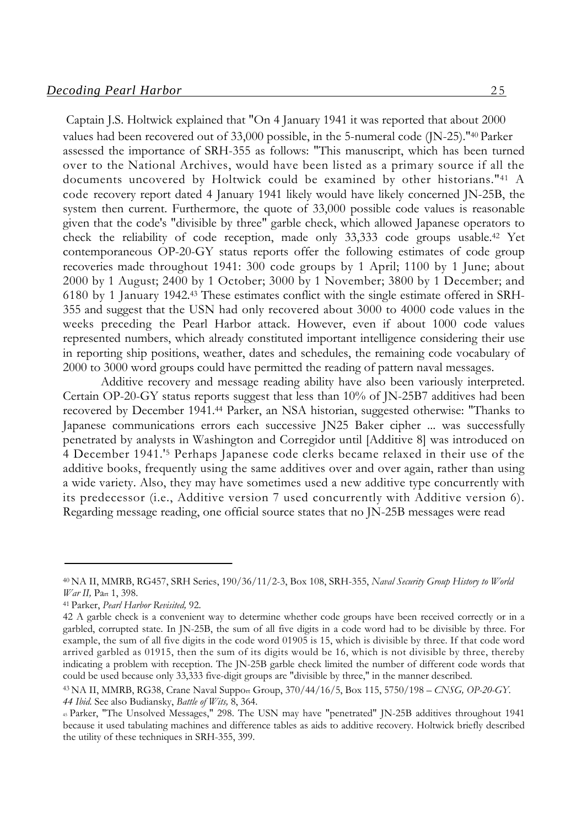Captain J.S. Holtwick explained that "On 4 January 1941 it was reported that about 2000 values had been recovered out of 33,000 possible, in the 5-numeral code (JN-25)."40 Parker assessed the importance of SRH-355 as follows: "This manuscript, which has been turned over to the National Archives, would have been listed as a primary source if all the documents uncovered by Holtwick could be examined by other historians."41 A code recovery report dated 4 January 1941 likely would have likely concerned JN-25B, the system then current. Furthermore, the quote of 33,000 possible code values is reasonable given that the code's "divisible by three" garble check, which allowed Japanese operators to check the reliability of code reception, made only 33,333 code groups usable.42 Yet contemporaneous OP-20-GY status reports offer the following estimates of code group recoveries made throughout 1941: 300 code groups by 1 April; 1100 by 1 June; about 2000 by 1 August; 2400 by 1 October; 3000 by 1 November; 3800 by 1 December; and 6180 by 1 January 1942.43 These estimates conflict with the single estimate offered in SRH-355 and suggest that the USN had only recovered about 3000 to 4000 code values in the weeks preceding the Pearl Harbor attack. However, even if about 1000 code values represented numbers, which already constituted important intelligence considering their use in reporting ship positions, weather, dates and schedules, the remaining code vocabulary of 2000 to 3000 word groups could have permitted the reading of pattern naval messages.

Additive recovery and message reading ability have also been variously interpreted. Certain OP-20-GY status reports suggest that less than 10% of JN-25B7 additives had been recovered by December 1941.44 Parker, an NSA historian, suggested otherwise: "Thanks to Japanese communications errors each successive JN25 Baker cipher ... was successfully penetrated by analysts in Washington and Corregidor until [Additive 8] was introduced on 4 December 1941.'5 Perhaps Japanese code clerks became relaxed in their use of the additive books, frequently using the same additives over and over again, rather than using a wide variety. Also, they may have sometimes used a new additive type concurrently with its predecessor (i.e., Additive version 7 used concurrently with Additive version 6). Regarding message reading, one official source states that no JN-25B messages were read

<sup>40</sup> NA II, MMRB, RG457, SRH Series, 190/36/11/2-3, Box 108, SRH-355, *Naval Security Group History to World War II,* Part 1, 398.

<sup>41</sup> Parker, *Pearl Harbor Revisited,* 92.

<sup>42</sup> A garble check is a convenient way to determine whether code groups have been received correctly or in a garbled, corrupted state. In JN-25B, the sum of all five digits in a code word had to be divisible by three. For example, the sum of all five digits in the code word 01905 is 15, which is divisible by three. If that code word arrived garbled as 01915, then the sum of its digits would be 16, which is not divisible by three, thereby indicating a problem with reception. The JN-25B garble check limited the number of different code words that could be used because only 33,333 five-digit groups are "divisible by three," in the manner described.

<sup>43</sup> NA II, MMRB, RG38, Crane Naval Support Group, 370/44/16/5, Box 115, 5750/198 – *CNSG, OP-20-GY. 44 Ibid.* See also Budiansky, *Battle of Wits,* 8, 364.

<sup>45</sup> Parker, "The Unsolved Messages," 298. The USN may have "penetrated" JN-25B additives throughout 1941 because it used tabulating machines and difference tables as aids to additive recovery. Holtwick briefly described the utility of these techniques in SRH-355, 399.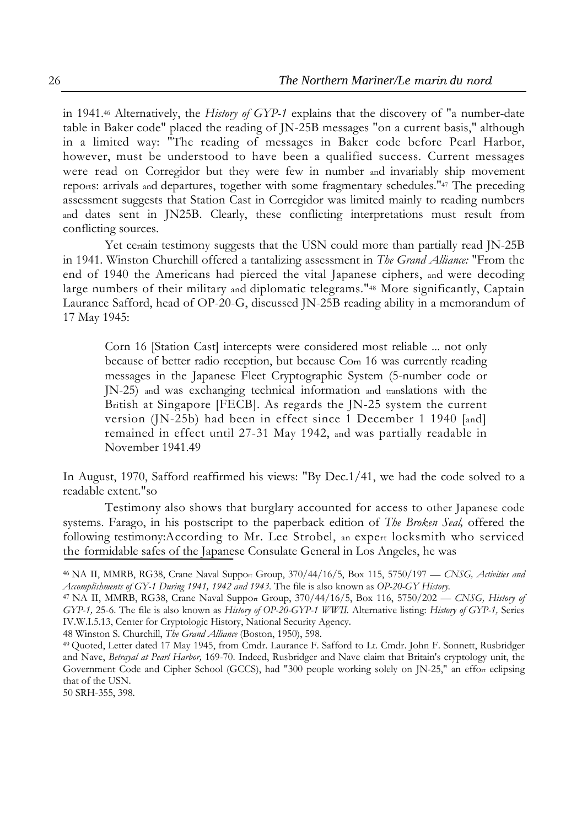in 1941.46 Alternatively, the *History of GYP-1* explains that the discovery of "a number-date table in Baker code" placed the reading of JN-25B messages "on a current basis," although in a limited way: "The reading of messages in Baker code before Pearl Harbor, however, must be understood to have been a qualified success. Current messages were read on Corregidor but they were few in number and invariably ship movement reports: arrivals and departures, together with some fragmentary schedules."47 The preceding assessment suggests that Station Cast in Corregidor was limited mainly to reading numbers and dates sent in JN25B. Clearly, these conflicting interpretations must result from conflicting sources.

Yet certain testimony suggests that the USN could more than partially read JN-25B in 1941. Winston Churchill offered a tantalizing assessment in *The Grand Alliance:* "From the end of 1940 the Americans had pierced the vital Japanese ciphers, and were decoding large numbers of their military and diplomatic telegrams."48 More significantly, Captain Laurance Safford, head of OP-20-G, discussed JN-25B reading ability in a memorandum of 17 May 1945:

Corn 16 [Station Cast] intercepts were considered most reliable ... not only because of better radio reception, but because Com 16 was currently reading messages in the Japanese Fleet Cryptographic System (5-number code or JN-25) and was exchanging technical information and translations with the British at Singapore [FECB]. As regards the JN-25 system the current version (JN-25b) had been in effect since 1 December 1 1940 [and] remained in effect until 27-31 May 1942, and was partially readable in November 1941.49

In August, 1970, Safford reaffirmed his views: "By Dec.1/41, we had the code solved to a readable extent."so

Testimony also shows that burglary accounted for access to other Japanese code systems. Farago, in his postscript to the paperback edition of *The Broken Seal,* offered the following testimony:According to Mr. Lee Strobel, an expert locksmith who serviced the formidable safes of the Japanese Consulate General in Los Angeles, he was

48 Winston S. Churchill, *The Grand Alliance* (Boston, 1950), 598.

50 SRH-355, 398.

<sup>46</sup> NA II, MMRB, RG38, Crane Naval Support Group, 370/44/16/5, Box 115, 5750/197 — *CNSG, Activities and Accomplishments of GY-1 During 1941, 1942 and 1943.* The file is also known as *OP-20-GY History.*

<sup>47</sup> NA II, MMRB, RG38, Crane Naval Support Group, 370/44/16/5, Box 116, 5750/202 — *CNSG, History of GYP-1,* 25-6. The file is also known as *History of OP-20-GYP-1 WWII.* Alternative listing: *History of GYP-1,* Series IV.W.I.5.13, Center for Cryptologic History, National Security Agency.

<sup>49</sup> Quoted, Letter dated 17 May 1945, from Cmdr. Laurance F. Safford to Lt. Cmdr. John F. Sonnett, Rusbridger and Nave, *Betrayal at Pearl Harbor,* 169-70. Indeed, Rusbridger and Nave claim that Britain's cryptology unit, the Government Code and Cipher School (GCCS), had "300 people working solely on JN-25," an effort eclipsing that of the USN.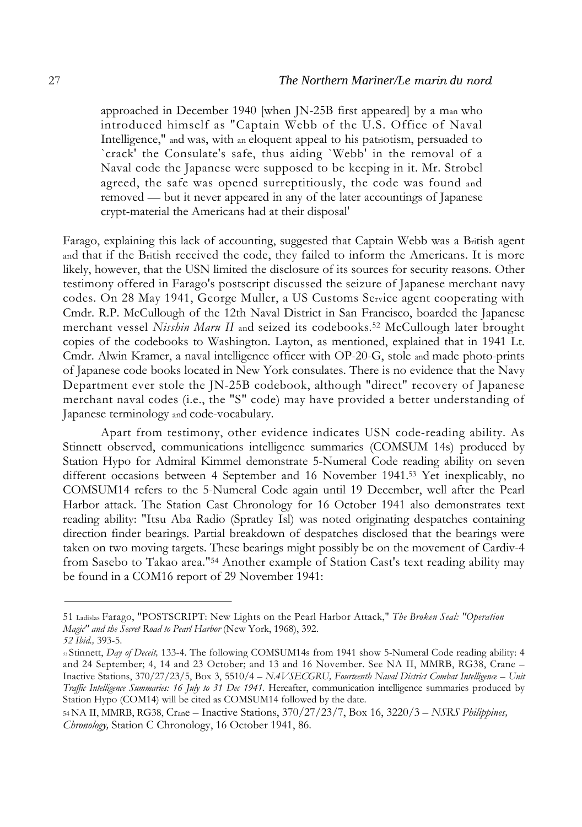approached in December 1940 [when JN-25B first appeared] by a man who introduced himself as "Captain Webb of the U.S. Office of Naval Intelligence," and was, with an eloquent appeal to his patriotism, persuaded to `crack' the Consulate's safe, thus aiding `Webb' in the removal of a Naval code the Japanese were supposed to be keeping in it. Mr. Strobel agreed, the safe was opened surreptitiously, the code was found and removed — but it never appeared in any of the later accountings of Japanese crypt-material the Americans had at their disposal'

Farago, explaining this lack of accounting, suggested that Captain Webb was a British agent and that if the British received the code, they failed to inform the Americans. It is more likely, however, that the USN limited the disclosure of its sources for security reasons. Other testimony offered in Farago's postscript discussed the seizure of Japanese merchant navy codes. On 28 May 1941, George Muller, a US Customs Service agent cooperating with Cmdr. R.P. McCullough of the 12th Naval District in San Francisco, boarded the Japanese merchant vessel *Nisshin Maru II* and seized its codebooks.52 McCullough later brought copies of the codebooks to Washington. Layton, as mentioned, explained that in 1941 Lt. Cmdr. Alwin Kramer, a naval intelligence officer with OP-20-G, stole and made photo-prints of Japanese code books located in New York consulates. There is no evidence that the Navy Department ever stole the JN-25B codebook, although "direct" recovery of Japanese merchant naval codes (i.e., the "S" code) may have provided a better understanding of Japanese terminology and code-vocabulary.

Apart from testimony, other evidence indicates USN code-reading ability. As Stinnett observed, communications intelligence summaries (COMSUM 14s) produced by Station Hypo for Admiral Kimmel demonstrate 5-Numeral Code reading ability on seven different occasions between 4 September and 16 November 1941.53 Yet inexplicably, no COMSUM14 refers to the 5-Numeral Code again until 19 December, well after the Pearl Harbor attack. The Station Cast Chronology for 16 October 1941 also demonstrates text reading ability: "Itsu Aba Radio (Spratley Isl) was noted originating despatches containing direction finder bearings. Partial breakdown of despatches disclosed that the bearings were taken on two moving targets. These bearings might possibly be on the movement of Cardiv-4 from Sasebo to Takao area."54 Another example of Station Cast's text reading ability may be found in a COM16 report of 29 November 1941:

<sup>51</sup> Ladislas Farago, "POSTSCRIPT: New Lights on the Pearl Harbor Attack," *The Broken Seal: "Operation Magic" and the Secret Road to Pearl Harbor* (New York, 1968), 392.

*<sup>52</sup> Ibid.,* 393-5.

*<sup>53</sup>*Stinnett, *Day of Deceit,* 133-4. The following COMSUM14s from 1941 show 5-Numeral Code reading ability: 4 and 24 September; 4, 14 and 23 October; and 13 and 16 November. See NA II, MMRB, RG38, Crane – Inactive Stations, 370/27/23/5, Box 3, 5510/4 – *N.4VSECGRU, Fourteenth Naval District Combat Intelligence – Unit Traffic Intelligence Summaries: 16 July to 31 Dec 1941*. Hereafter, communication intelligence summaries produced by Station Hypo (COM14) will be cited as COMSUM14 followed by the date.

<sup>54</sup> NA II, MMRB, RG38, Crane – Inactive Stations, 370/27/23/7, Box 16, 3220/3 *– NSRS Philippines, Chronology,* Station C Chronology, 16 October 1941, 86.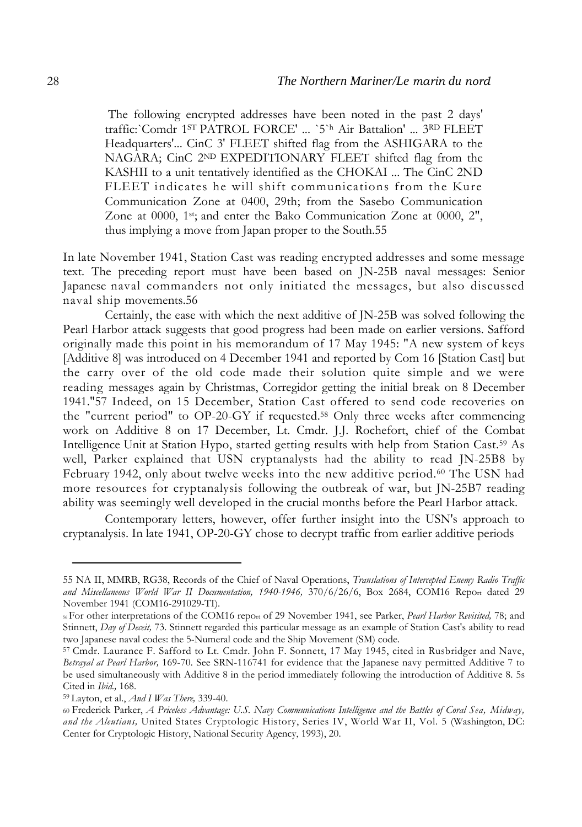The following encrypted addresses have been noted in the past 2 days' traffic:`Comdr 1ST PATROL FORCE' ... `5`h Air Battalion' ... 3RD FLEET Headquarters'... CinC 3' FLEET shifted flag from the ASHIGARA to the NAGARA; CinC 2ND EXPEDITIONARY FLEET shifted flag from the KASHII to a unit tentatively identified as the CHOKAI ... The CinC 2ND FLEET indicates he will shift communications from the Kure Communication Zone at 0400, 29th; from the Sasebo Communication Zone at 0000, 1<sup>st</sup>; and enter the Bako Communication Zone at 0000, 2", thus implying a move from Japan proper to the South.55

In late November 1941, Station Cast was reading encrypted addresses and some message text. The preceding report must have been based on JN-25B naval messages: Senior Japanese naval commanders not only initiated the messages, but also discussed naval ship movements.56

Certainly, the ease with which the next additive of JN-25B was solved following the Pearl Harbor attack suggests that good progress had been made on earlier versions. Safford originally made this point in his memorandum of 17 May 1945: "A new system of keys [Additive 8] was introduced on 4 December 1941 and reported by Com 16 [Station Cast] but the carry over of the old code made their solution quite simple and we were reading messages again by Christmas, Corregidor getting the initial break on 8 December 1941."57 Indeed, on 15 December, Station Cast offered to send code recoveries on the "current period" to OP-20-GY if requested.58 Only three weeks after commencing work on Additive 8 on 17 December, Lt. Cmdr. J.J. Rochefort, chief of the Combat Intelligence Unit at Station Hypo, started getting results with help from Station Cast.59 As well, Parker explained that USN cryptanalysts had the ability to read JN-25B8 by February 1942, only about twelve weeks into the new additive period.60 The USN had more resources for cryptanalysis following the outbreak of war, but JN-25B7 reading ability was seemingly well developed in the crucial months before the Pearl Harbor attack.

Contemporary letters, however, offer further insight into the USN's approach to cryptanalysis. In late 1941, OP-20-GY chose to decrypt traffic from earlier additive periods

<sup>55</sup> NA II, MMRB, RG38, Records of the Chief of Naval Operations, *Translations of Intercepted Enemy Radio Traffic and Miscellaneous World War II Documentation, 1940-1946,* 370/6/26/6, Box 2684, COM16 Report dated 29 November 1941 (COM16-291029-TI).

<sup>56</sup> For other interpretations of the COM16 report of 29 November 1941, see Parker, *Pearl Harbor Revisited,* 78; and Stinnett, *Day of Deceit,* 73. Stinnett regarded this particular message as an example of Station Cast's ability to read two Japanese naval codes: the 5-Numeral code and the Ship Movement (SM) code.

<sup>57</sup> Cmdr. Laurance F. Safford to Lt. Cmdr. John F. Sonnett, 17 May 1945, cited in Rusbridger and Nave, *Betrayal at Pearl Harbor,* 169-70. See SRN-116741 for evidence that the Japanese navy permitted Additive 7 to be used simultaneously with Additive 8 in the period immediately following the introduction of Additive 8. 5s Cited in *Ibid.,* 168.

<sup>59</sup> Layton, et al., *And I Was There,* 339-40.

<sup>60</sup> Frederick Parker, *A Priceless Advantage: U.S. Navy Communications Intelligence and the Battles of Coral Sea, Midway, and the Aleutians,* United States Cryptologic History, Series IV, World War II, Vol. 5 (Washington, DC: Center for Cryptologic History, National Security Agency, 1993), 20.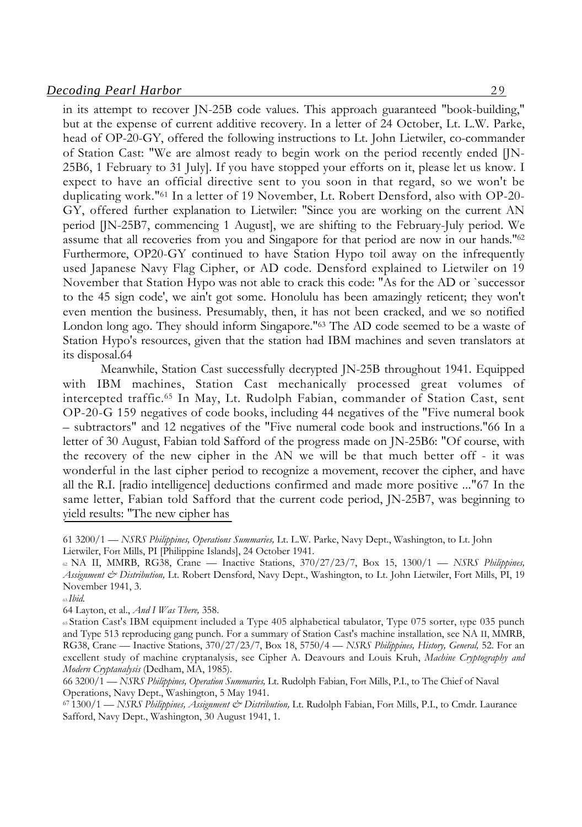#### *Decoding Pearl Harbor* 29

in its attempt to recover JN-25B code values. This approach guaranteed "book-building," but at the expense of current additive recovery. In a letter of 24 October, Lt. L.W. Parke, head of OP-20-GY, offered the following instructions to Lt. John Lietwiler, co-commander of Station Cast: "We are almost ready to begin work on the period recently ended [JN-25B6, 1 February to 31 July]. If you have stopped your efforts on it, please let us know. I expect to have an official directive sent to you soon in that regard, so we won't be duplicating work."61 In a letter of 19 November, Lt. Robert Densford, also with OP-20- GY, offered further explanation to Lietwiler: "Since you are working on the current AN period [JN-25B7, commencing 1 August], we are shifting to the February-July period. We assume that all recoveries from you and Singapore for that period are now in our hands."62 Furthermore, OP20-GY continued to have Station Hypo toil away on the infrequently used Japanese Navy Flag Cipher, or AD code. Densford explained to Lietwiler on 19 November that Station Hypo was not able to crack this code: "As for the AD or `successor to the 45 sign code', we ain't got some. Honolulu has been amazingly reticent; they won't even mention the business. Presumably, then, it has not been cracked, and we so notified London long ago. They should inform Singapore."63 The AD code seemed to be a waste of Station Hypo's resources, given that the station had IBM machines and seven translators at its disposal.64

Meanwhile, Station Cast successfully decrypted JN-25B throughout 1941. Equipped with IBM machines, Station Cast mechanically processed great volumes of intercepted traffic.65 In May, Lt. Rudolph Fabian, commander of Station Cast, sent OP-20-G 159 negatives of code books, including 44 negatives of the "Five numeral book – subtractors" and 12 negatives of the "Five numeral code book and instructions."66 In a letter of 30 August, Fabian told Safford of the progress made on JN-25B6: "Of course, with the recovery of the new cipher in the AN we will be that much better off - it was wonderful in the last cipher period to recognize a movement, recover the cipher, and have all the R.I. [radio intelligence] deductions confirmed and made more positive ..."67 In the same letter, Fabian told Safford that the current code period, JN-25B7, was beginning to yield results: "The new cipher has

<sup>63</sup>*Ibid.*

64 Layton, et al., *And I Was There,* 358.

<sup>61 3200/1 —</sup> *NSRS Philippines, Operations Summaries,* Lt. L.W. Parke, Navy Dept., Washington, to Lt. John Lietwiler, Fort Mills, PI [Philippine Islands], 24 October 1941.

<sup>62</sup> NA II, MMRB, RG38, Crane — Inactive Stations, 370/27/23/7, Box 15, 1300/1 — *NSRS Philippines, Assignment & Distribution,* Lt. Robert Densford, Navy Dept., Washington, to Lt. John Lietwiler, Fort Mills, PI, 19 November 1941, 3.

<sup>65</sup> Station Cast's IBM equipment included a Type 405 alphabetical tabulator, Type 075 sorter, type 035 punch and Type 513 reproducing gang punch. For a summary of Station Cast's machine installation, see NA II, MMRB, RG38, Crane — Inactive Stations, 370/27/23/7, Box 18, 5750/4 — *NSRS Philippines, History, General,* 52. For an excellent study of machine cryptanalysis, see Cipher A. Deavours and Louis Kruh, *Machine Cryptography and Modern Cryptanalysis* (Dedham, MA, 1985).

<sup>66 3200/1 —</sup> *NSRS Philippines, Operation Summaries,* Lt. Rudolph Fabian, Fort Mills, P.I., to The Chief of Naval Operations, Navy Dept., Washington, 5 May 1941.

<sup>67 1300/1 —</sup> *NSRS Philippines, Assignment & Distribution,* Lt. Rudolph Fabian, Fort Mills, P.I., to Cmdr. Laurance Safford, Navy Dept., Washington, 30 August 1941, 1.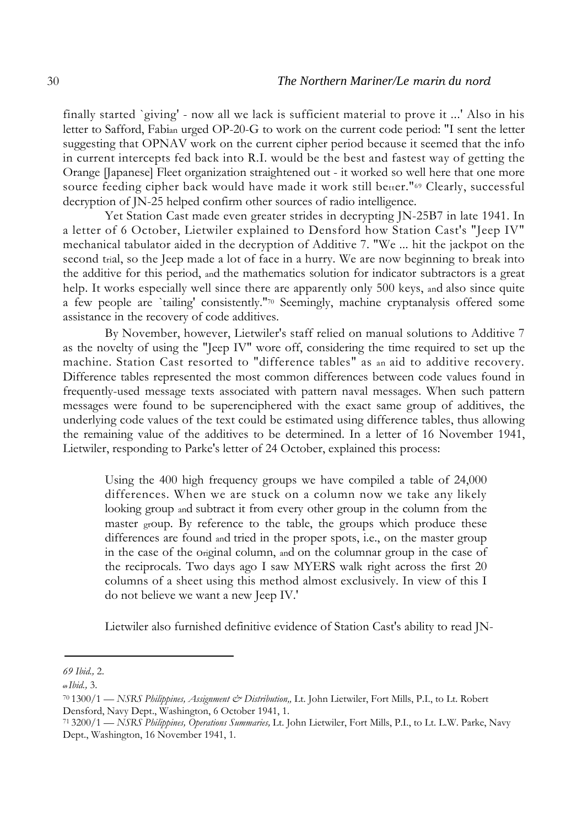finally started `giving' - now all we lack is sufficient material to prove it ...' Also in his letter to Safford, Fabian urged OP-20-G to work on the current code period: "I sent the letter suggesting that OPNAV work on the current cipher period because it seemed that the info in current intercepts fed back into R.I. would be the best and fastest way of getting the Orange [Japanese] Fleet organization straightened out - it worked so well here that one more source feeding cipher back would have made it work still better."<sup>69</sup> Clearly, successful decryption of JN-25 helped confirm other sources of radio intelligence.

Yet Station Cast made even greater strides in decrypting JN-25B7 in late 1941. In a letter of 6 October, Lietwiler explained to Densford how Station Cast's "Jeep IV" mechanical tabulator aided in the decryption of Additive 7. "We ... hit the jackpot on the second trial, so the Jeep made a lot of face in a hurry. We are now beginning to break into the additive for this period, and the mathematics solution for indicator subtractors is a great help. It works especially well since there are apparently only 500 keys, and also since quite a few people are `tailing' consistently."70 Seemingly, machine cryptanalysis offered some assistance in the recovery of code additives.

By November, however, Lietwiler's staff relied on manual solutions to Additive 7 as the novelty of using the "Jeep IV" wore off, considering the time required to set up the machine. Station Cast resorted to "difference tables" as an aid to additive recovery. Difference tables represented the most common differences between code values found in frequently-used message texts associated with pattern naval messages. When such pattern messages were found to be superenciphered with the exact same group of additives, the underlying code values of the text could be estimated using difference tables, thus allowing the remaining value of the additives to be determined. In a letter of 16 November 1941, Lietwiler, responding to Parke's letter of 24 October, explained this process:

Using the 400 high frequency groups we have compiled a table of 24,000 differences. When we are stuck on a column now we take any likely looking group and subtract it from every other group in the column from the master group. By reference to the table, the groups which produce these differences are found and tried in the proper spots, i.e., on the master group in the case of the original column, and on the columnar group in the case of the reciprocals. Two days ago I saw MYERS walk right across the first 20 columns of a sheet using this method almost exclusively. In view of this I do not believe we want a new Jeep IV.'

Lietwiler also furnished definitive evidence of Station Cast's ability to read JN-

*<sup>69</sup> Ibid.,* 2.

**<sup>69</sup>***Ibid.,* 3.

<sup>70 1300/1 —</sup> *NSRS Philippines, Assignment & Distribution"* Lt. John Lietwiler, Fort Mills, P.I., to Lt. Robert Densford, Navy Dept., Washington, 6 October 1941, 1.

<sup>71 3200/1 —</sup> *NSRS Philippines, Operations Summaries,* Lt. John Lietwiler, Fort Mills, P.I., to Lt. L.W. Parke, Navy Dept., Washington, 16 November 1941, 1.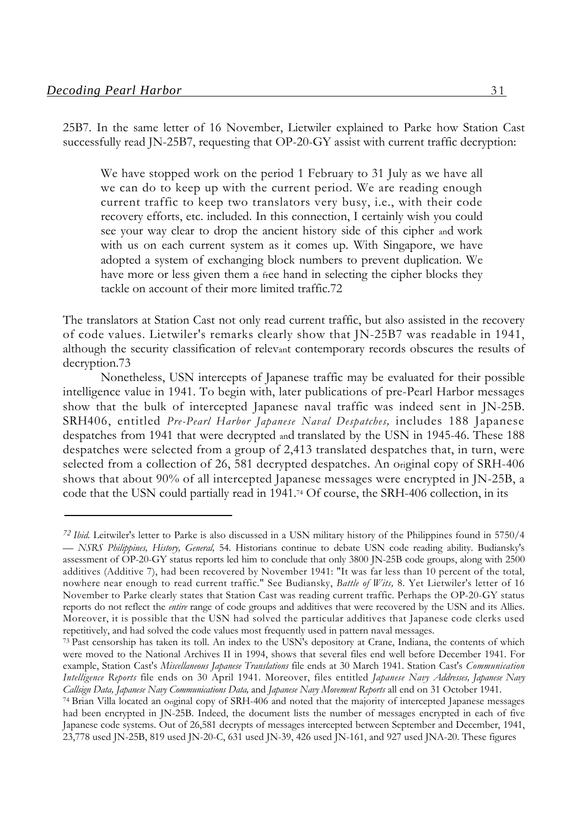25B7. In the same letter of 16 November, Lietwiler explained to Parke how Station Cast successfully read JN-25B7, requesting that OP-20-GY assist with current traffic decryption:

We have stopped work on the period 1 February to 31 July as we have all we can do to keep up with the current period. We are reading enough current traffic to keep two translators very busy, i.e., with their code recovery efforts, etc. included. In this connection, I certainly wish you could see your way clear to drop the ancient history side of this cipher and work with us on each current system as it comes up. With Singapore, we have adopted a system of exchanging block numbers to prevent duplication. We have more or less given them a free hand in selecting the cipher blocks they tackle on account of their more limited traffic.72

The translators at Station Cast not only read current traffic, but also assisted in the recovery of code values. Lietwiler's remarks clearly show that JN-25B7 was readable in 1941, although the security classification of relevant contemporary records obscures the results of decryption.73

Nonetheless, USN intercepts of Japanese traffic may be evaluated for their possible intelligence value in 1941. To begin with, later publications of pre-Pearl Harbor messages show that the bulk of intercepted Japanese naval traffic was indeed sent in JN-25B. SRH406, entitled *Pre-Pearl Harbor Japanese Naval Despatches,* includes 188 Japanese despatches from 1941 that were decrypted and translated by the USN in 1945-46. These 188 despatches were selected from a group of 2,413 translated despatches that, in turn, were selected from a collection of 26, 581 decrypted despatches. An original copy of SRH-406 shows that about 90% of all intercepted Japanese messages were encrypted in JN-25B, a code that the USN could partially read in 1941.74 Of course, the SRH-406 collection, in its

*<sup>72</sup> Ibid.* Leitwiler's letter to Parke is also discussed in a USN military history of the Philippines found in 5750/4 — *NSRS Philippines, History, General,* 54. Historians continue to debate USN code reading ability. Budiansky's assessment of OP-20-GY status reports led him to conclude that only 3800 JN-25B code groups, along with 2500 additives (Additive 7), had been recovered by November 1941: "It was far less than 10 percent of the total, nowhere near enough to read current traffic." See Budiansky, *Battle of Wits,* 8. Yet Lietwiler's letter of 16 November to Parke clearly states that Station Cast was reading current traffic. Perhaps the OP-20-GY status reports do not reflect the *entire* range of code groups and additives that were recovered by the USN and its Allies. Moreover, it is possible that the USN had solved the particular additives that Japanese code clerks used repetitively, and had solved the code values most frequently used in pattern naval messages.

<sup>73</sup> Past censorship has taken its toll. An index to the USN's depository at Crane, Indiana, the contents of which were moved to the National Archives II in 1994, shows that several files end well before December 1941. For example, Station Cast's *Miscellaneous Japanese Translations* file ends at 30 March 1941. Station Cast's *Communication Intelligence Reports* file ends on 30 April 1941. Moreover, files entitled *Japanese Navy Addresses, Japanese Navy Callsign Data, Japanese Navy Communications Data,* and *Japanese Navy Movement Reports* all end on 31 October 1941.

<sup>74</sup> Brian Villa located an original copy of SRH-406 and noted that the majority of intercepted Japanese messages had been encrypted in JN-25B. Indeed, the document lists the number of messages encrypted in each of five Japanese code systems. Out of 26,581 decrypts of messages intercepted between September and December, 1941, 23,778 used JN-25B, 819 used JN-20-C, 631 used JN-39, 426 used JN-161, and 927 used JNA-20. These figures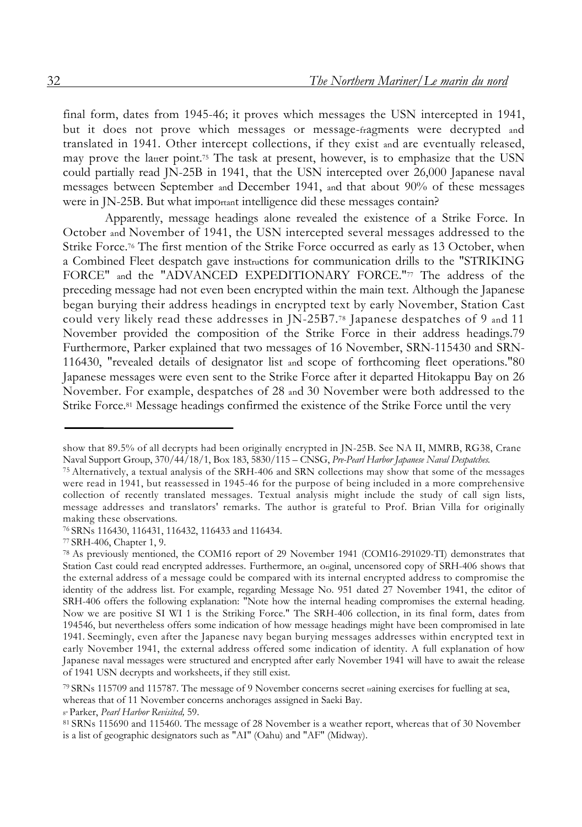final form, dates from 1945-46; it proves which messages the USN intercepted in 1941, but it does not prove which messages or message-fragments were decrypted and translated in 1941. Other intercept collections, if they exist and are eventually released, may prove the latter point.<sup>75</sup> The task at present, however, is to emphasize that the USN could partially read JN-25B in 1941, that the USN intercepted over 26,000 Japanese naval messages between September and December 1941, and that about 90% of these messages were in JN-25B. But what important intelligence did these messages contain?

Apparently, message headings alone revealed the existence of a Strike Force. In October and November of 1941, the USN intercepted several messages addressed to the Strike Force.76 The first mention of the Strike Force occurred as early as 13 October, when a Combined Fleet despatch gave instructions for communication drills to the "STRIKING FORCE" and the "ADVANCED EXPEDITIONARY FORCE."77 The address of the preceding message had not even been encrypted within the main text. Although the Japanese began burying their address headings in encrypted text by early November, Station Cast could very likely read these addresses in JN-25B7.78 Japanese despatches of 9 and 11 November provided the composition of the Strike Force in their address headings.79 Furthermore, Parker explained that two messages of 16 November, SRN-115430 and SRN-116430, "revealed details of designator list and scope of forthcoming fleet operations."80 Japanese messages were even sent to the Strike Force after it departed Hitokappu Bay on 26 November. For example, despatches of 28 and 30 November were both addressed to the Strike Force.81 Message headings confirmed the existence of the Strike Force until the very

8° Parker, *Pearl Harbor Revisited,* 59.

show that 89.5% of all decrypts had been originally encrypted in JN-25B. See NA II, MMRB, RG38, Crane Naval Support Group, 370/44/18/1, Box 183, 5830/115 – CNSG, *Pre-Pearl Harbor Japanese Naval Despatches.*

<sup>75</sup> Alternatively, a textual analysis of the SRH-406 and SRN collections may show that some of the messages were read in 1941, but reassessed in 1945-46 for the purpose of being included in a more comprehensive collection of recently translated messages. Textual analysis might include the study of call sign lists, message addresses and translators' remarks. The author is grateful to Prof. Brian Villa for originally making these observations.

<sup>76</sup> SRNs 116430, 116431, 116432, 116433 and 116434.

<sup>77</sup> SRH-406, Chapter 1, 9.

<sup>78</sup> As previously mentioned, the COM16 report of 29 November 1941 (COM16-291029-TI) demonstrates that Station Cast could read encrypted addresses. Furthermore, an original, uncensored copy of SRH-406 shows that the external address of a message could be compared with its internal encrypted address to compromise the identity of the address list. For example, regarding Message No. 951 dated 27 November 1941, the editor of SRH-406 offers the following explanation: "Note how the internal heading compromises the external heading. Now we are positive SI WI 1 is the Striking Force." The SRH-406 collection, in its final form, dates from 194546, but nevertheless offers some indication of how message headings might have been compromised in late 1941. Seemingly, even after the Japanese navy began burying messages addresses within encrypted text in early November 1941, the external address offered some indication of identity. A full explanation of how Japanese naval messages were structured and encrypted after early November 1941 will have to await the release of 1941 USN decrypts and worksheets, if they still exist.

<sup>79</sup> SRNs 115709 and 115787. The message of 9 November concerns secret training exercises for fuelling at sea, whereas that of 11 November concerns anchorages assigned in Saeki Bay.

<sup>81</sup> SRNs 115690 and 115460. The message of 28 November is a weather report, whereas that of 30 November is a list of geographic designators such as "AI" (Oahu) and "AF" (Midway).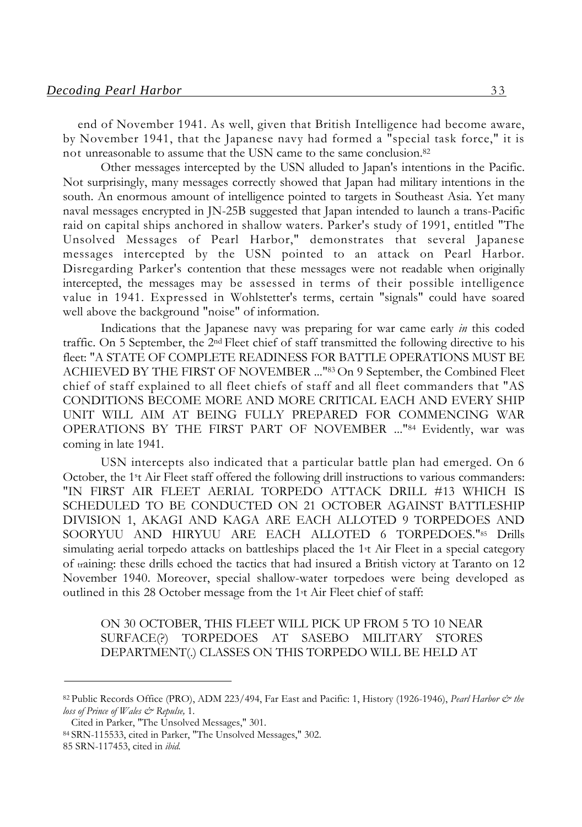end of November 1941. As well, given that British Intelligence had become aware, by November 1941, that the Japanese navy had formed a "special task force," it is not unreasonable to assume that the USN came to the same conclusion.82

Other messages intercepted by the USN alluded to Japan's intentions in the Pacific. Not surprisingly, many messages correctly showed that Japan had military intentions in the south. An enormous amount of intelligence pointed to targets in Southeast Asia. Yet many naval messages encrypted in JN-25B suggested that Japan intended to launch a trans-Pacific raid on capital ships anchored in shallow waters. Parker's study of 1991, entitled "The Unsolved Messages of Pearl Harbor," demonstrates that several Japanese messages intercepted by the USN pointed to an attack on Pearl Harbor. Disregarding Parker's contention that these messages were not readable when originally intercepted, the messages may be assessed in terms of their possible intelligence value in 1941. Expressed in Wohlstetter's terms, certain "signals" could have soared well above the background "noise" of information.

Indications that the Japanese navy was preparing for war came early *in* this coded traffic. On 5 September, the 2nd Fleet chief of staff transmitted the following directive to his fleet: "A STATE OF COMPLETE READINESS FOR BATTLE OPERATIONS MUST BE ACHIEVED BY THE FIRST OF NOVEMBER ..."83 On 9 September, the Combined Fleet chief of staff explained to all fleet chiefs of staff and all fleet commanders that "AS CONDITIONS BECOME MORE AND MORE CRITICAL EACH AND EVERY SHIP UNIT WILL AIM AT BEING FULLY PREPARED FOR COMMENCING WAR OPERATIONS BY THE FIRST PART OF NOVEMBER ..."84 Evidently, war was coming in late 1941.

USN intercepts also indicated that a particular battle plan had emerged. On 6 October, the 1st Air Fleet staff offered the following drill instructions to various commanders: "IN FIRST AIR FLEET AERIAL TORPEDO ATTACK DRILL #13 WHICH IS SCHEDULED TO BE CONDUCTED ON 21 OCTOBER AGAINST BATTLESHIP DIVISION 1, AKAGI AND KAGA ARE EACH ALLOTED 9 TORPEDOES AND SOORYUU AND HIRYUU ARE EACH ALLOTED 6 TORPEDOES."85 Drills simulating aerial torpedo attacks on battleships placed the 1st Air Fleet in a special category of training: these drills echoed the tactics that had insured a British victory at Taranto on 12 November 1940. Moreover, special shallow-water torpedoes were being developed as outlined in this 28 October message from the 1st Air Fleet chief of staff:

ON 30 OCTOBER, THIS FLEET WILL PICK UP FROM 5 TO 10 NEAR SURFACE(?) TORPEDOES AT SASEBO MILITARY STORES DEPARTMENT(.) CLASSES ON THIS TORPEDO WILL BE HELD AT

<sup>82</sup> Public Records Office (PRO), ADM 223/494, Far East and Pacific: 1, History (1926-1946), *Pearl Harbor & the loss of Prince of Wales & Repulse,* 1.

Cited in Parker, "The Unsolved Messages," 301.

<sup>84</sup> SRN-115533, cited in Parker, "The Unsolved Messages," 302.

<sup>85</sup> SRN-117453, cited in *ibid.*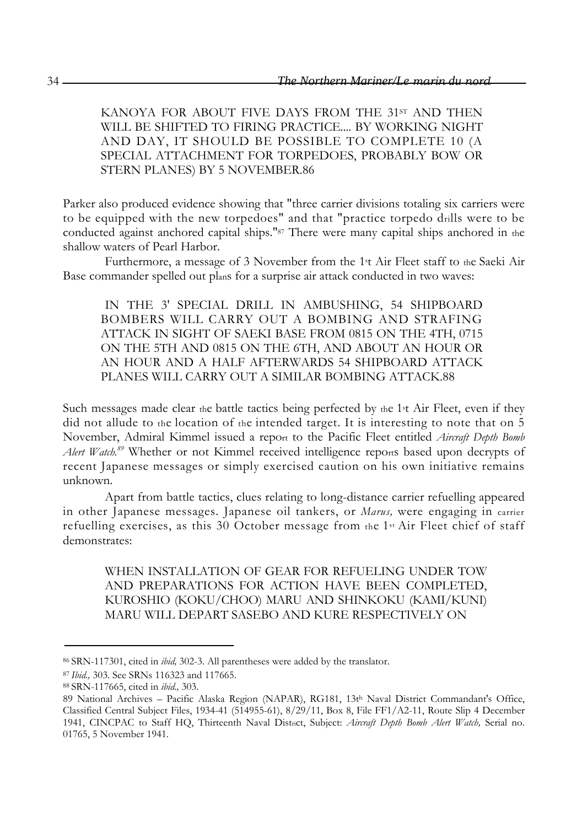KANOYA FOR ABOUT FIVE DAYS FROM THE 31st AND THEN WILL BE SHIFTED TO FIRING PRACTICE.... BY WORKING NIGHT AND DAY, IT SHOULD BE POSSIBLE TO COMPLETE 10 (A SPECIAL ATTACHMENT FOR TORPEDOES, PROBABLY BOW OR STERN PLANES) BY 5 NOVEMBER.86

Parker also produced evidence showing that "three carrier divisions totaling six carriers were to be equipped with the new torpedoes" and that "practice torpedo drills were to be conducted against anchored capital ships."87 There were many capital ships anchored in the shallow waters of Pearl Harbor.

Furthermore, a message of 3 November from the 1st Air Fleet staff to the Saeki Air Base commander spelled out plans for a surprise air attack conducted in two waves:

IN THE 3' SPECIAL DRILL IN AMBUSHING, 54 SHIPBOARD BOMBERS WILL CARRY OUT A BOMBING AND STRAFING ATTACK IN SIGHT OF SAEKI BASE FROM 0815 ON THE 4TH, 0715 ON THE 5TH AND 0815 ON THE 6TH, AND ABOUT AN HOUR OR AN HOUR AND A HALF AFTERWARDS 54 SHIPBOARD ATTACK PLANES WILL CARRY OUT A SIMILAR BOMBING ATTACK.88

Such messages made clear the battle tactics being perfected by the 1<sup>st</sup> Air Fleet, even if they did not allude to the location of the intended target. It is interesting to note that on 5 November, Admiral Kimmel issued a report to the Pacific Fleet entitled *Aircraft Depth Bomb Alert Watch.89* Whether or not Kimmel received intelligence reports based upon decrypts of recent Japanese messages or simply exercised caution on his own initiative remains unknown.

Apart from battle tactics, clues relating to long-distance carrier refuelling appeared in other Japanese messages. Japanese oil tankers, or *Marus,* were engaging in carrier refuelling exercises, as this 30 October message from the 1st Air Fleet chief of staff demonstrates:

WHEN INSTALLATION OF GEAR FOR REFUELING UNDER TOW AND PREPARATIONS FOR ACTION HAVE BEEN COMPLETED, KUROSHIO (KOKU/CHOO) MARU AND SHINKOKU (KAMI/KUNI) MARU WILL DEPART SASEBO AND KURE RESPECTIVELY ON

<sup>86</sup> SRN-117301, cited in *ibid,* 302-3. All parentheses were added by the translator.

<sup>87</sup>*Ibid.,* 303. See SRNs 116323 and 117665.

<sup>88</sup> SRN-117665, cited in *ibid.,* 303.

<sup>89</sup> National Archives – Pacific Alaska Region (NAPAR), RG181, 13th Naval District Commandant's Office, Classified Central Subject Files, 1934-41 (514955-61), 8/29/11, Box 8, File FF1/A2-11, Route Slip 4 December 1941, CINCPAC to Staff HQ, Thirteenth Naval District, Subject: *Aircraft Depth Bomb Alert Watch,* Serial no. 01765, 5 November 1941.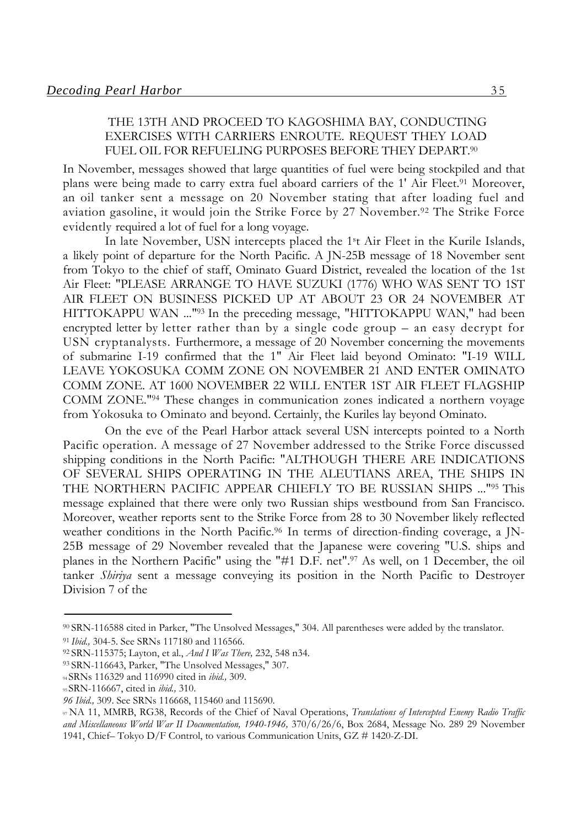### THE 13TH AND PROCEED TO KAGOSHIMA BAY, CONDUCTING EXERCISES WITH CARRIERS ENROUTE. REQUEST THEY LOAD FUEL OIL FOR REFUELING PURPOSES BEFORE THEY DEPART.<sup>90</sup>

In November, messages showed that large quantities of fuel were being stockpiled and that plans were being made to carry extra fuel aboard carriers of the 1' Air Fleet.<sup>91</sup> Moreover, an oil tanker sent a message on 20 November stating that after loading fuel and aviation gasoline, it would join the Strike Force by 27 November.92 The Strike Force evidently required a lot of fuel for a long voyage.

In late November, USN intercepts placed the 1st Air Fleet in the Kurile Islands, a likely point of departure for the North Pacific. A JN-25B message of 18 November sent from Tokyo to the chief of staff, Ominato Guard District, revealed the location of the 1st Air Fleet: "PLEASE ARRANGE TO HAVE SUZUKI (1776) WHO WAS SENT TO 1ST AIR FLEET ON BUSINESS PICKED UP AT ABOUT 23 OR 24 NOVEMBER AT HITTOKAPPU WAN ..."93 In the preceding message, "HITTOKAPPU WAN," had been encrypted letter by letter rather than by a single code group – an easy decrypt for USN cryptanalysts. Furthermore, a message of 20 November concerning the movements of submarine I-19 confirmed that the 1" Air Fleet laid beyond Ominato: "I-19 WILL LEAVE YOKOSUKA COMM ZONE ON NOVEMBER 21 AND ENTER OMINATO COMM ZONE. AT 1600 NOVEMBER 22 WILL ENTER 1ST AIR FLEET FLAGSHIP COMM ZONE."94 These changes in communication zones indicated a northern voyage from Yokosuka to Ominato and beyond. Certainly, the Kuriles lay beyond Ominato.

On the eve of the Pearl Harbor attack several USN intercepts pointed to a North Pacific operation. A message of 27 November addressed to the Strike Force discussed shipping conditions in the North Pacific: "ALTHOUGH THERE ARE INDICATIONS OF SEVERAL SHIPS OPERATING IN THE ALEUTIANS AREA, THE SHIPS IN THE NORTHERN PACIFIC APPEAR CHIEFLY TO BE RUSSIAN SHIPS ..."95 This message explained that there were only two Russian ships westbound from San Francisco. Moreover, weather reports sent to the Strike Force from 28 to 30 November likely reflected weather conditions in the North Pacific.<sup>96</sup> In terms of direction-finding coverage, a JN-25B message of 29 November revealed that the Japanese were covering "U.S. ships and planes in the Northern Pacific" using the "#1 D.F. net".97 As well, on 1 December, the oil tanker *Shiriya* sent a message conveying its position in the North Pacific to Destroyer Division 7 of the

<sup>90</sup> SRN-116588 cited in Parker, "The Unsolved Messages," 304. All parentheses were added by the translator.

<sup>91</sup>*Ibid.,* 304-5. See SRNs 117180 and 116566.

<sup>92</sup> SRN-115375; Layton, et al., *And I Was There,* 232, 548 n34.

<sup>93</sup> SRN-116643, Parker, "The Unsolved Messages," 307.

<sup>94</sup> SRNs 116329 and 116990 cited in *ibid.,* 309.

<sup>95</sup> SRN-116667, cited in *ibid.,* 310.

*<sup>96</sup> Ibid.,* 309. See SRNs 116668, 115460 and 115690.

<sup>97</sup> NA 11, MMRB, RG38, Records of the Chief of Naval Operations, *Translations of Intercepted Enemy Radio Traffic and Miscellaneous World War II Documentation, 1940-1946,* 370/6/26/6, Box 2684, Message No. 289 29 November 1941, Chief– Tokyo D/F Control, to various Communication Units, GZ # 1420-Z-DI.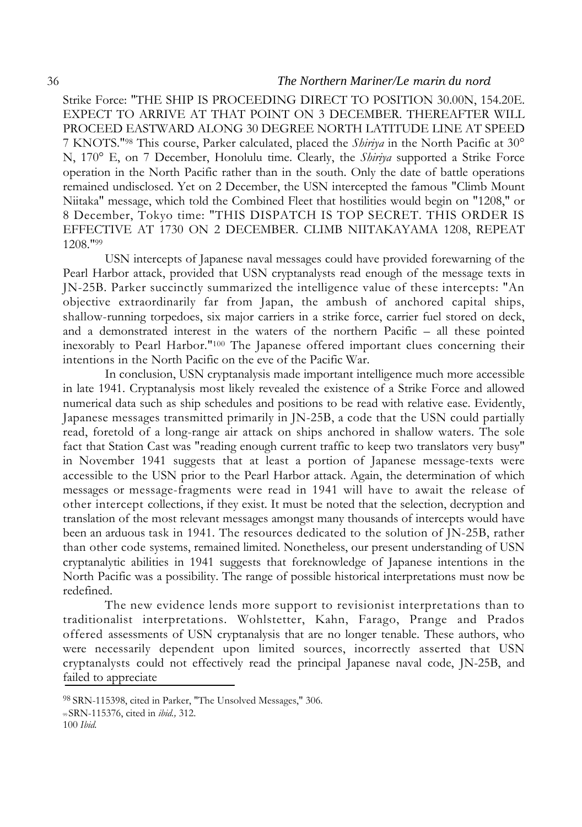Strike Force: "THE SHIP IS PROCEEDING DIRECT TO POSITION 30.00N, 154.20E. EXPECT TO ARRIVE AT THAT POINT ON 3 DECEMBER. THEREAFTER WILL PROCEED EASTWARD ALONG 30 DEGREE NORTH LATITUDE LINE AT SPEED 7 KNOTS."98 This course, Parker calculated, placed the *Shiriya* in the North Pacific at 30° N, 170° E, on 7 December, Honolulu time. Clearly, the *Shiriya* supported a Strike Force operation in the North Pacific rather than in the south. Only the date of battle operations remained undisclosed. Yet on 2 December, the USN intercepted the famous "Climb Mount Niitaka" message, which told the Combined Fleet that hostilities would begin on "1208," or 8 December, Tokyo time: "THIS DISPATCH IS TOP SECRET. THIS ORDER IS EFFECTIVE AT 1730 ON 2 DECEMBER. CLIMB NIITAKAYAMA 1208, REPEAT 1208."99

USN intercepts of Japanese naval messages could have provided forewarning of the Pearl Harbor attack, provided that USN cryptanalysts read enough of the message texts in JN-25B. Parker succinctly summarized the intelligence value of these intercepts: "An objective extraordinarily far from Japan, the ambush of anchored capital ships, shallow-running torpedoes, six major carriers in a strike force, carrier fuel stored on deck, and a demonstrated interest in the waters of the northern Pacific – all these pointed inexorably to Pearl Harbor."100 The Japanese offered important clues concerning their intentions in the North Pacific on the eve of the Pacific War.

In conclusion, USN cryptanalysis made important intelligence much more accessible in late 1941. Cryptanalysis most likely revealed the existence of a Strike Force and allowed numerical data such as ship schedules and positions to be read with relative ease. Evidently, Japanese messages transmitted primarily in JN-25B, a code that the USN could partially read, foretold of a long-range air attack on ships anchored in shallow waters. The sole fact that Station Cast was "reading enough current traffic to keep two translators very busy" in November 1941 suggests that at least a portion of Japanese message-texts were accessible to the USN prior to the Pearl Harbor attack. Again, the determination of which messages or message-fragments were read in 1941 will have to await the release of other intercept collections, if they exist. It must be noted that the selection, decryption and translation of the most relevant messages amongst many thousands of intercepts would have been an arduous task in 1941. The resources dedicated to the solution of JN-25B, rather than other code systems, remained limited. Nonetheless, our present understanding of USN cryptanalytic abilities in 1941 suggests that foreknowledge of Japanese intentions in the North Pacific was a possibility. The range of possible historical interpretations must now be redefined.

The new evidence lends more support to revisionist interpretations than to traditionalist interpretations. Wohlstetter, Kahn, Farago, Prange and Prados offered assessments of USN cryptanalysis that are no longer tenable. These authors, who were necessarily dependent upon limited sources, incorrectly asserted that USN cryptanalysts could not effectively read the principal Japanese naval code, JN-25B, and failed to appreciate

<sup>98</sup> SRN-115398, cited in Parker, "The Unsolved Messages," 306.

<sup>99</sup> SRN-115376, cited in *ibid.,* 312.

<sup>100</sup> *Ibid.*